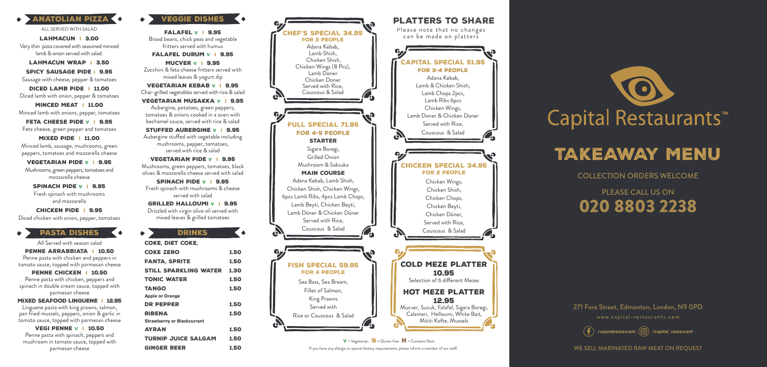

www.capital-restaurants.com

 $\left(\begin{matrix} \mathbf{f} \end{matrix}\right)$  /capitalrestaurant  $\left(\begin{matrix} 0 \end{matrix}\right)$  /capital\_restaurant

WE SELL MARINATED RAW MEAT ON REOUEST

271 Fore Street, Edmonton, London, N9 0PD

MINCED MEAT | 11.00 Minced lamb with onions, pepper, tomatoes

### COLLECTION ORDERS WELCOME

FETA CHEESE PIDE v | 9.95 Feta cheese, green pepper and tomatoes

# PLEASE CALL US ON 020 8803 2238

# TAKEAWAY MENU

LAHMACUN I 3.00 Very thin pizza covered with seasoned minced lamb & onion served with salad.

LAHMACUN WRAP I 3.50

ALL SERVED WITH SALAD FALAFFL V I 9.95 Broad beans, chick peas and vegetable fritters served with humus

SPICY SAUSAGE PIDE I 9.95 Sausage with cheese, pepper & tomatoes

DICED LAMB PIDE I 11.00 Diced lamb with onion, pepper & tomatoes

> STUFFED AUBERGINE V | 9.95 Aubergine stuffed with vegetable including mushrooms, pepper, tomatoes, served with rice & salad

MIXED PIDE I 11.00 Minced lamb, sausage, mushrooms, green peppers, tomatoes and mozzarella cheese

> SPINACH PIDE V | 9.95 Fresh spinach with mushrooms & cheese served with salad

VEGETARIAN PIDE V I 9.95 Mushrooms, green peppers, tomatoes and mozzarella cheese

SPINACH PIDE V I 9.95 Fresh spinach with mushrooms and mozzarella

CHICKEN PIDE I 9.95 Diced chicken with onion, pepper, tomatoes

#### **PASTA DISHES**

FALAFEL DURUM V I 9.95

MUCVER V I 9.95 Zucchini & feta cheese fritters served with mixed leaves & yogurt dip

VEGI PENNE V | 10.50 Penne pasta with spinach, peppers and mushroom in tomato sauce, topped with parmesan cheese

VEGETARIAN KEBAB V I 9.95 Char-grilled vegetables served with rice & salad

VEGETARIAN MUSAKKA V I 9.95 Aubergine, potatoes, green peppers, tomatoes & onions cooked in a oven with bechamel sauce, served with rice & salad

VEGETARIAN PIDE V I 9.95 Mushrooms, green peppers, tomatoes, black olives & mozzarella cheese served with salad



If you have any allergic or special dietary requirements, please inform a member of our staff.  $V = Vegetarian$  = Gluten free  $N =$  Contains Nuts



# Capital Restaurants<sup>™</sup>

GRILLED HALLOUMI V I 9.95 Drizzled with virgin olive oil served with mixed leaves & grilled tomatoes

| <b>DRINKS</b>                      |      |
|------------------------------------|------|
| <b>COKE. DIET COKE.</b>            |      |
| <b>COKE ZERO</b>                   | 1.50 |
| <b>FANTA. SPRITE</b>               | 1.50 |
| STILL SPARKLING WATER              | 1.30 |
| <b>TONIC WATER</b>                 | 1.50 |
| <b>TANGO</b>                       | 1.50 |
| <b>Apple or Orange</b>             |      |
| <b>DR PEPPER</b>                   | 1.50 |
| RIBENA                             | 1.50 |
| <b>Strawberrry or Blackcurrant</b> |      |
| <b>AYRAN</b>                       | 1.50 |
| <b>TURNIP JUICE SALGAM</b>         | 1.50 |
| <b>GINGER BEER</b>                 | 1.50 |

All Served with season salad

PENNE ARRABBIATA I 10.50 Penne pasta with chicken and peppers in tomato sauce, topped with parmesan cheese

PENNE CHICKEN | 10.50

Penne pasta with chicken, peppers and spinach in double cream sauce, topped with parmesan cheese

MIXED SEAFOOD LINGUENE | 12.95

Linguene pasta with king prawns, salmon, pan fried mussels, peppers, onion & garlic in tomato sauce, topped with parmesan cheese